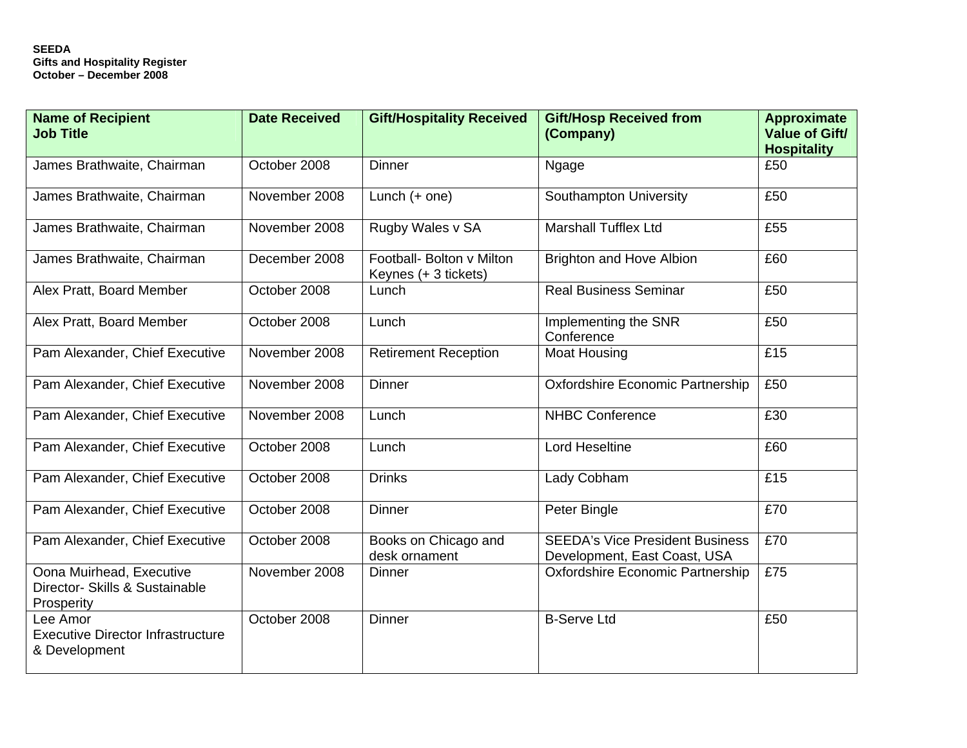| <b>Name of Recipient</b><br><b>Job Title</b>                             | <b>Date Received</b> | <b>Gift/Hospitality Received</b>                  | <b>Gift/Hosp Received from</b><br>(Company)                            | <b>Approximate</b><br><b>Value of Gift/</b><br><b>Hospitality</b> |
|--------------------------------------------------------------------------|----------------------|---------------------------------------------------|------------------------------------------------------------------------|-------------------------------------------------------------------|
| James Brathwaite, Chairman                                               | October 2008         | <b>Dinner</b>                                     | Ngage                                                                  | £50                                                               |
| James Brathwaite, Chairman                                               | November 2008        | Lunch $(+$ one)                                   | Southampton University                                                 | £50                                                               |
| James Brathwaite, Chairman                                               | November 2008        | Rugby Wales v SA                                  | <b>Marshall Tufflex Ltd</b>                                            | £55                                                               |
| James Brathwaite, Chairman                                               | December 2008        | Football- Bolton v Milton<br>Keynes (+ 3 tickets) | <b>Brighton and Hove Albion</b>                                        | £60                                                               |
| Alex Pratt, Board Member                                                 | October 2008         | Lunch                                             | <b>Real Business Seminar</b>                                           | £50                                                               |
| Alex Pratt, Board Member                                                 | October 2008         | Lunch                                             | Implementing the SNR<br>Conference                                     | £50                                                               |
| Pam Alexander, Chief Executive                                           | November 2008        | <b>Retirement Reception</b>                       | <b>Moat Housing</b>                                                    | £15                                                               |
| Pam Alexander, Chief Executive                                           | November 2008        | <b>Dinner</b>                                     | <b>Oxfordshire Economic Partnership</b>                                | £50                                                               |
| Pam Alexander, Chief Executive                                           | November 2008        | Lunch                                             | <b>NHBC Conference</b>                                                 | £30                                                               |
| Pam Alexander, Chief Executive                                           | October 2008         | Lunch                                             | <b>Lord Heseltine</b>                                                  | £60                                                               |
| Pam Alexander, Chief Executive                                           | October 2008         | <b>Drinks</b>                                     | Lady Cobham                                                            | £15                                                               |
| Pam Alexander, Chief Executive                                           | October 2008         | <b>Dinner</b>                                     | Peter Bingle                                                           | £70                                                               |
| Pam Alexander, Chief Executive                                           | October 2008         | Books on Chicago and<br>desk ornament             | <b>SEEDA's Vice President Business</b><br>Development, East Coast, USA | £70                                                               |
| Oona Muirhead, Executive<br>Director- Skills & Sustainable<br>Prosperity | November 2008        | Dinner                                            | Oxfordshire Economic Partnership                                       | £75                                                               |
| Lee Amor<br><b>Executive Director Infrastructure</b><br>& Development    | October 2008         | <b>Dinner</b>                                     | <b>B-Serve Ltd</b>                                                     | £50                                                               |